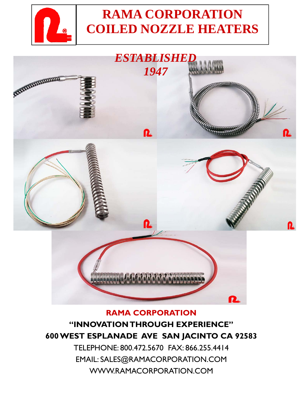

# **RAMA CORPORATION COILED NOZZLE HEATERS**



#### **RAMA CORPORATION**

### **"INNOVATION THROUGH EXPERIENCE" 600 WEST ESPLANADE AVE SAN JACINTO CA 92583**

TELEPHONE: 800.472.5670 FAX: 866.255.4414 EMAIL: SALES@RAMACORPORATION.COM WWW.RAMACORPORATION.COM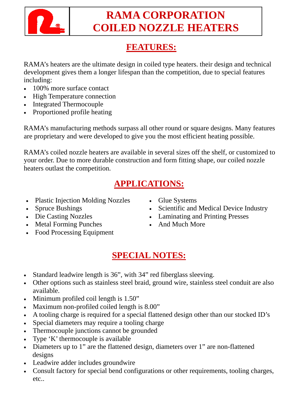

## **RAMA CORPORATION COILED NOZZLE HEATERS**

### **FEATURES:**

RAMA's heaters are the ultimate design in coiled type heaters. their design and technical development gives them a longer lifespan than the competition, due to special features including:

- 100% more surface contact
- High Temperature connection
- Integrated Thermocouple
- Proportioned profile heating

RAMA's manufacturing methods surpass all other round or square designs. Many features are proprietary and were developed to give you the most efficient heating possible.

RAMA's coiled nozzle heaters are available in several sizes off the shelf, or customized to your order. Due to more durable construction and form fitting shape, our coiled nozzle heaters outlast the competition.

### **APPLICATIONS:**

- Plastic Injection Molding Nozzles
- Spruce Bushings
- Die Casting Nozzles
- Metal Forming Punches
- Food Processing Equipment
- Glue Systems
- Scientific and Medical Device Industry
- Laminating and Printing Presses
- And Much More

### **SPECIAL NOTES:**

- Standard leadwire length is 36", with 34" red fiberglass sleeving.
- Other options such as stainless steel braid, ground wire, stainless steel conduit are also available.
- Minimum profiled coil length is 1.50"
- Maximum non-profiled coiled length is 8.00"
- A tooling charge is required for a special flattened design other than our stocked ID's
- Special diameters may require a tooling charge
- Thermocouple junctions cannot be grounded
- Type 'K' thermocouple is available
- Diameters up to 1" are the flattened design, diameters over 1" are non-flattened designs
- Leadwire adder includes groundwire
- Consult factory for special bend configurations or other requirements, tooling charges, etc..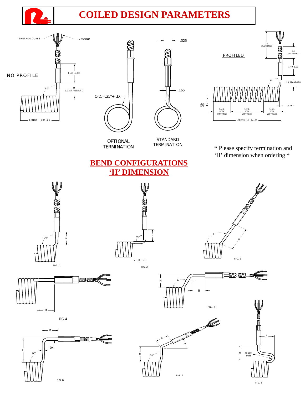

### **COILED DESIGN PARAMETERS**